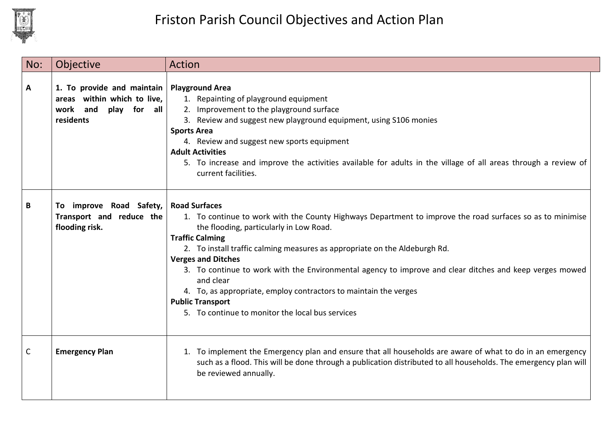

| No: | Objective                                                                                                            | Action                                                                                                                                                                                                                                                                                                                                                                                                                                                                                                                                                                                       |
|-----|----------------------------------------------------------------------------------------------------------------------|----------------------------------------------------------------------------------------------------------------------------------------------------------------------------------------------------------------------------------------------------------------------------------------------------------------------------------------------------------------------------------------------------------------------------------------------------------------------------------------------------------------------------------------------------------------------------------------------|
| Α   | 1. To provide and maintain   Playground Area<br>areas within which to live,<br>work and<br>play for all<br>residents | 1. Repainting of playground equipment<br>2. Improvement to the playground surface<br>3. Review and suggest new playground equipment, using S106 monies<br><b>Sports Area</b><br>4. Review and suggest new sports equipment<br><b>Adult Activities</b><br>5. To increase and improve the activities available for adults in the village of all areas through a review of<br>current facilities.                                                                                                                                                                                               |
| В   | To improve Road Safety,<br>Transport and reduce the<br>flooding risk.                                                | <b>Road Surfaces</b><br>1. To continue to work with the County Highways Department to improve the road surfaces so as to minimise<br>the flooding, particularly in Low Road.<br><b>Traffic Calming</b><br>2. To install traffic calming measures as appropriate on the Aldeburgh Rd.<br><b>Verges and Ditches</b><br>3. To continue to work with the Environmental agency to improve and clear ditches and keep verges mowed<br>and clear<br>4. To, as appropriate, employ contractors to maintain the verges<br><b>Public Transport</b><br>5. To continue to monitor the local bus services |
| C   | <b>Emergency Plan</b>                                                                                                | 1. To implement the Emergency plan and ensure that all households are aware of what to do in an emergency<br>such as a flood. This will be done through a publication distributed to all households. The emergency plan will<br>be reviewed annually.                                                                                                                                                                                                                                                                                                                                        |